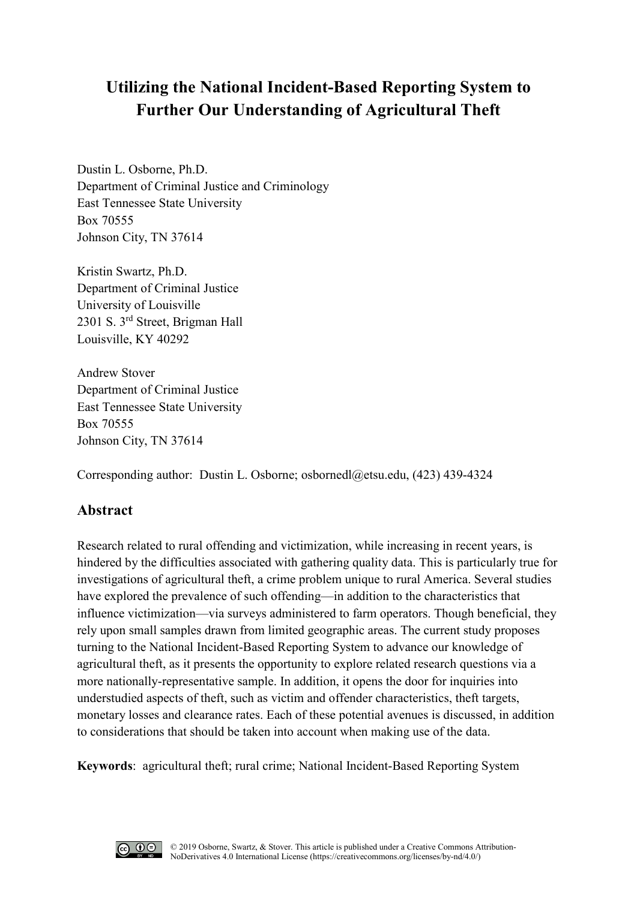# **Utilizing the National Incident-Based Reporting System to Further Our Understanding of Agricultural Theft**

Dustin L. Osborne, Ph.D. Department of Criminal Justice and Criminology East Tennessee State University Box 70555 Johnson City, TN 37614

Kristin Swartz, Ph.D. Department of Criminal Justice University of Louisville 2301 S. 3rd Street, Brigman Hall Louisville, KY 40292

Andrew Stover Department of Criminal Justice East Tennessee State University Box 70555 Johnson City, TN 37614

Corresponding author: Dustin L. Osborne; [osbornedl@etsu.edu, \(4](mailto:osbornedl@etsu.edu)23) 439-4324

## **Abstract**

Research related to rural offending and victimization, while increasing in recent years, is hindered by the difficulties associated with gathering quality data. This is particularly true for investigations of agricultural theft, a crime problem unique to rural America. Several studies have explored the prevalence of such offending—in addition to the characteristics that influence victimization—via surveys administered to farm operators. Though beneficial, they rely upon small samples drawn from limited geographic areas. The current study proposes turning to the National Incident-Based Reporting System to advance our knowledge of agricultural theft, as it presents the opportunity to explore related research questions via a more nationally-representative sample. In addition, it opens the door for inquiries into understudied aspects of theft, such as victim and offender characteristics, theft targets, monetary losses and clearance rates. Each of these potential avenues is discussed, in addition to considerations that should be taken into account when making use of the data.

**Keywords**: agricultural theft; rural crime; National Incident-Based Reporting System

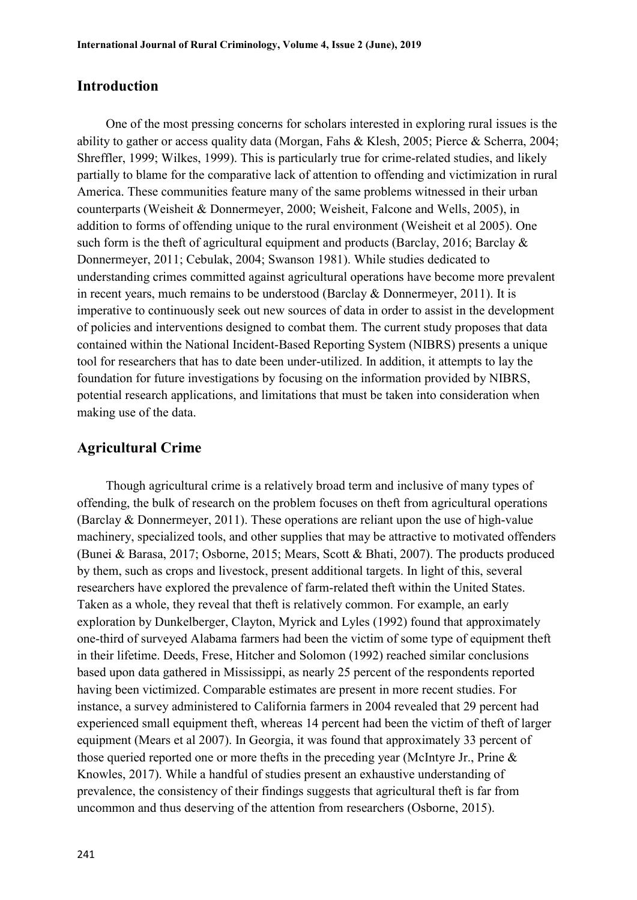### **Introduction**

One of the most pressing concerns for scholars interested in exploring rural issues is the ability to gather or access quality data (Morgan, Fahs & Klesh, 2005; Pierce & Scherra, 2004; Shreffler, 1999; Wilkes, 1999). This is particularly true for crime-related studies, and likely partially to blame for the comparative lack of attention to offending and victimization in rural America. These communities feature many of the same problems witnessed in their urban counterparts (Weisheit & Donnermeyer, 2000; Weisheit, Falcone and Wells, 2005), in addition to forms of offending unique to the rural environment (Weisheit et al 2005). One such form is the theft of agricultural equipment and products (Barclay, 2016; Barclay & Donnermeyer, 2011; Cebulak, 2004; Swanson 1981). While studies dedicated to understanding crimes committed against agricultural operations have become more prevalent in recent years, much remains to be understood (Barclay & Donnermeyer, 2011). It is imperative to continuously seek out new sources of data in order to assist in the development of policies and interventions designed to combat them. The current study proposes that data contained within the National Incident-Based Reporting System (NIBRS) presents a unique tool for researchers that has to date been under-utilized. In addition, it attempts to lay the foundation for future investigations by focusing on the information provided by NIBRS, potential research applications, and limitations that must be taken into consideration when making use of the data.

### **Agricultural Crime**

Though agricultural crime is a relatively broad term and inclusive of many types of offending, the bulk of research on the problem focuses on theft from agricultural operations (Barclay & Donnermeyer, 2011). These operations are reliant upon the use of high-value machinery, specialized tools, and other supplies that may be attractive to motivated offenders (Bunei & Barasa, 2017; Osborne, 2015; Mears, Scott & Bhati, 2007). The products produced by them, such as crops and livestock, present additional targets. In light of this, several researchers have explored the prevalence of farm-related theft within the United States. Taken as a whole, they reveal that theft is relatively common. For example, an early exploration by Dunkelberger, Clayton, Myrick and Lyles (1992) found that approximately one-third of surveyed Alabama farmers had been the victim of some type of equipment theft in their lifetime. Deeds, Frese, Hitcher and Solomon (1992) reached similar conclusions based upon data gathered in Mississippi, as nearly 25 percent of the respondents reported having been victimized. Comparable estimates are present in more recent studies. For instance, a survey administered to California farmers in 2004 revealed that 29 percent had experienced small equipment theft, whereas 14 percent had been the victim of theft of larger equipment (Mears et al 2007). In Georgia, it was found that approximately 33 percent of those queried reported one or more thefts in the preceding year (McIntyre Jr., Prine & Knowles, 2017). While a handful of studies present an exhaustive understanding of prevalence, the consistency of their findings suggests that agricultural theft is far from uncommon and thus deserving of the attention from researchers (Osborne, 2015).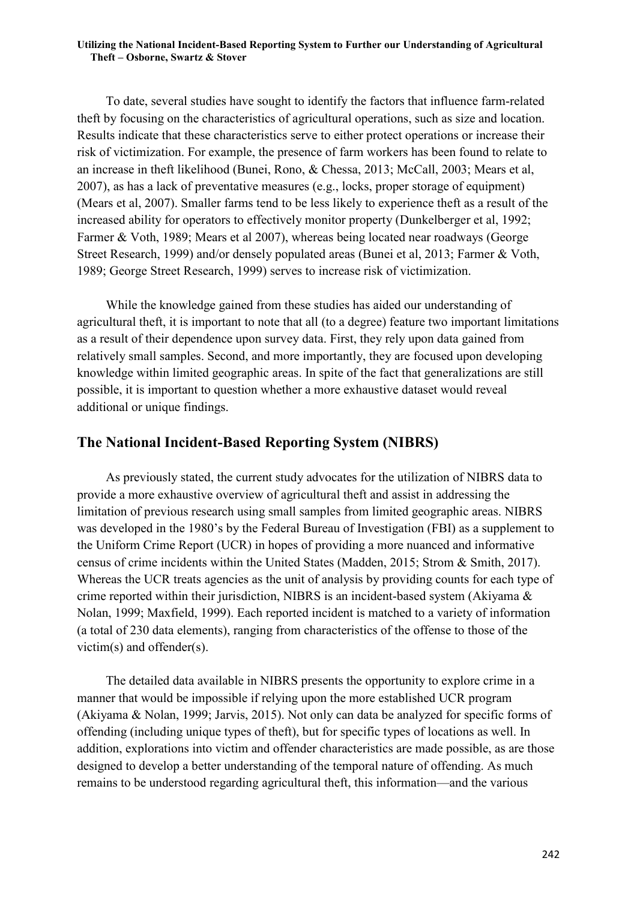To date, several studies have sought to identify the factors that influence farm-related theft by focusing on the characteristics of agricultural operations, such as size and location. Results indicate that these characteristics serve to either protect operations or increase their risk of victimization. For example, the presence of farm workers has been found to relate to an increase in theft likelihood (Bunei, Rono, & Chessa, 2013; McCall, 2003; Mears et al, 2007), as has a lack of preventative measures (e.g., locks, proper storage of equipment) (Mears et al, 2007). Smaller farms tend to be less likely to experience theft as a result of the increased ability for operators to effectively monitor property (Dunkelberger et al, 1992; Farmer & Voth, 1989; Mears et al 2007), whereas being located near roadways (George Street Research, 1999) and/or densely populated areas (Bunei et al, 2013; Farmer & Voth, 1989; George Street Research, 1999) serves to increase risk of victimization.

While the knowledge gained from these studies has aided our understanding of agricultural theft, it is important to note that all (to a degree) feature two important limitations as a result of their dependence upon survey data. First, they rely upon data gained from relatively small samples. Second, and more importantly, they are focused upon developing knowledge within limited geographic areas. In spite of the fact that generalizations are still possible, it is important to question whether a more exhaustive dataset would reveal additional or unique findings.

### **The National Incident-Based Reporting System (NIBRS)**

As previously stated, the current study advocates for the utilization of NIBRS data to provide a more exhaustive overview of agricultural theft and assist in addressing the limitation of previous research using small samples from limited geographic areas. NIBRS was developed in the 1980's by the Federal Bureau of Investigation (FBI) as a supplement to the Uniform Crime Report (UCR) in hopes of providing a more nuanced and informative census of crime incidents within the United States (Madden, 2015; Strom & Smith, 2017). Whereas the UCR treats agencies as the unit of analysis by providing counts for each type of crime reported within their jurisdiction, NIBRS is an incident-based system (Akiyama & Nolan, 1999; Maxfield, 1999). Each reported incident is matched to a variety of information (a total of 230 data elements), ranging from characteristics of the offense to those of the victim(s) and offender(s).

The detailed data available in NIBRS presents the opportunity to explore crime in a manner that would be impossible if relying upon the more established UCR program (Akiyama & Nolan, 1999; Jarvis, 2015). Not only can data be analyzed for specific forms of offending (including unique types of theft), but for specific types of locations as well. In addition, explorations into victim and offender characteristics are made possible, as are those designed to develop a better understanding of the temporal nature of offending. As much remains to be understood regarding agricultural theft, this information—and the various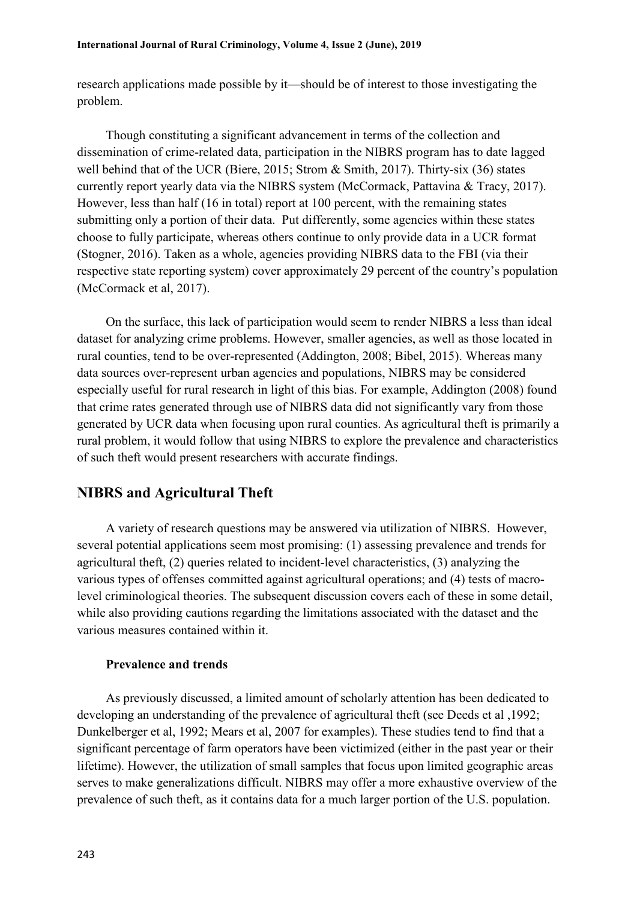research applications made possible by it—should be of interest to those investigating the problem.

Though constituting a significant advancement in terms of the collection and dissemination of crime-related data, participation in the NIBRS program has to date lagged well behind that of the UCR (Biere, 2015; Strom & Smith, 2017). Thirty-six (36) states currently report yearly data via the NIBRS system (McCormack, Pattavina & Tracy, 2017). However, less than half (16 in total) report at 100 percent, with the remaining states submitting only a portion of their data. Put differently, some agencies within these states choose to fully participate, whereas others continue to only provide data in a UCR format (Stogner, 2016). Taken as a whole, agencies providing NIBRS data to the FBI (via their respective state reporting system) cover approximately 29 percent of the country's population (McCormack et al, 2017).

On the surface, this lack of participation would seem to render NIBRS a less than ideal dataset for analyzing crime problems. However, smaller agencies, as well as those located in rural counties, tend to be over-represented (Addington, 2008; Bibel, 2015). Whereas many data sources over-represent urban agencies and populations, NIBRS may be considered especially useful for rural research in light of this bias. For example, Addington (2008) found that crime rates generated through use of NIBRS data did not significantly vary from those generated by UCR data when focusing upon rural counties. As agricultural theft is primarily a rural problem, it would follow that using NIBRS to explore the prevalence and characteristics of such theft would present researchers with accurate findings.

### **NIBRS and Agricultural Theft**

A variety of research questions may be answered via utilization of NIBRS. However, several potential applications seem most promising: (1) assessing prevalence and trends for agricultural theft, (2) queries related to incident-level characteristics, (3) analyzing the various types of offenses committed against agricultural operations; and (4) tests of macrolevel criminological theories. The subsequent discussion covers each of these in some detail, while also providing cautions regarding the limitations associated with the dataset and the various measures contained within it.

### **Prevalence and trends**

As previously discussed, a limited amount of scholarly attention has been dedicated to developing an understanding of the prevalence of agricultural theft (see Deeds et al ,1992; Dunkelberger et al, 1992; Mears et al, 2007 for examples). These studies tend to find that a significant percentage of farm operators have been victimized (either in the past year or their lifetime). However, the utilization of small samples that focus upon limited geographic areas serves to make generalizations difficult. NIBRS may offer a more exhaustive overview of the prevalence of such theft, as it contains data for a much larger portion of the U.S. population.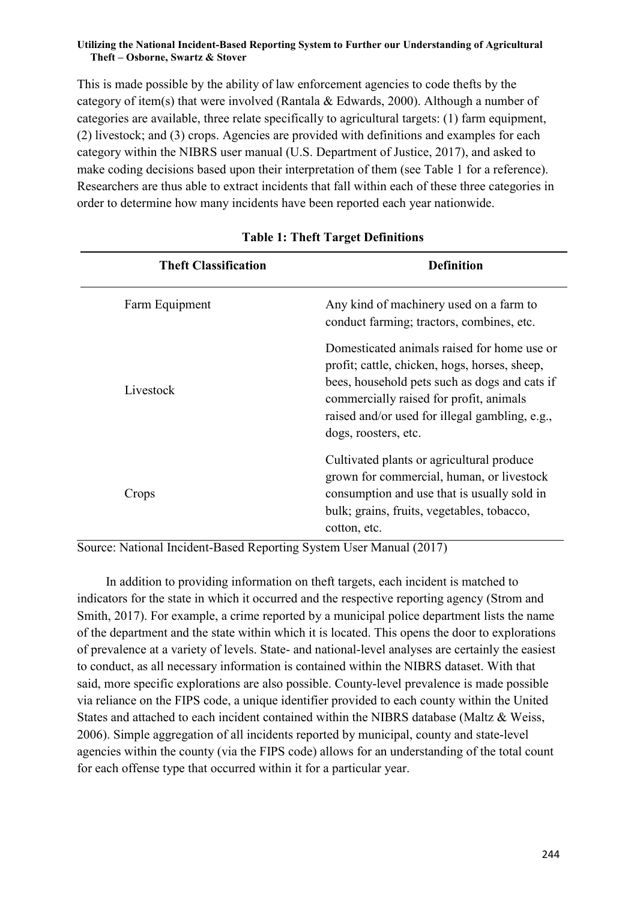This is made possible by the ability of law enforcement agencies to code thefts by the category of item(s) that were involved (Rantala & Edwards, 2000). Although a number of categories are available, three relate specifically to agricultural targets: (1) farm equipment, (2) livestock; and (3) crops. Agencies are provided with definitions and examples for each category within the NIBRS user manual (U.S. Department of Justice, 2017), and asked to make coding decisions based upon their interpretation of them (see Table 1 for a reference). Researchers are thus able to extract incidents that fall within each of these three categories in order to determine how many incidents have been reported each year nationwide.

| <b>Theft Classification</b> | Definition                                                                                                                                                                                                                                                         |
|-----------------------------|--------------------------------------------------------------------------------------------------------------------------------------------------------------------------------------------------------------------------------------------------------------------|
| Farm Equipment              | Any kind of machinery used on a farm to<br>conduct farming; tractors, combines, etc.                                                                                                                                                                               |
| Livestock                   | Domesticated animals raised for home use or<br>profit; cattle, chicken, hogs, horses, sheep,<br>bees, household pets such as dogs and cats if<br>commercially raised for profit, animals<br>raised and/or used for illegal gambling, e.g.,<br>dogs, roosters, etc. |
| Crops                       | Cultivated plants or agricultural produce<br>grown for commercial, human, or livestock<br>consumption and use that is usually sold in<br>bulk; grains, fruits, vegetables, tobacco,<br>cotton, etc.                                                                |

### **Table 1: Theft Target Definitions**

Source: National Incident-Based Reporting System User Manual (2017)

In addition to providing information on theft targets, each incident is matched to indicators for the state in which it occurred and the respective reporting agency (Strom and Smith, 2017). For example, a crime reported by a municipal police department lists the name of the department and the state within which it is located. This opens the door to explorations of prevalence at a variety of levels. State- and national-level analyses are certainly the easiest to conduct, as all necessary information is contained within the NIBRS dataset. With that said, more specific explorations are also possible. County-level prevalence is made possible via reliance on the FIPS code, a unique identifier provided to each county within the United States and attached to each incident contained within the NIBRS database (Maltz & Weiss, 2006). Simple aggregation of all incidents reported by municipal, county and state-level agencies within the county (via the FIPS code) allows for an understanding of the total count for each offense type that occurred within it for a particular year.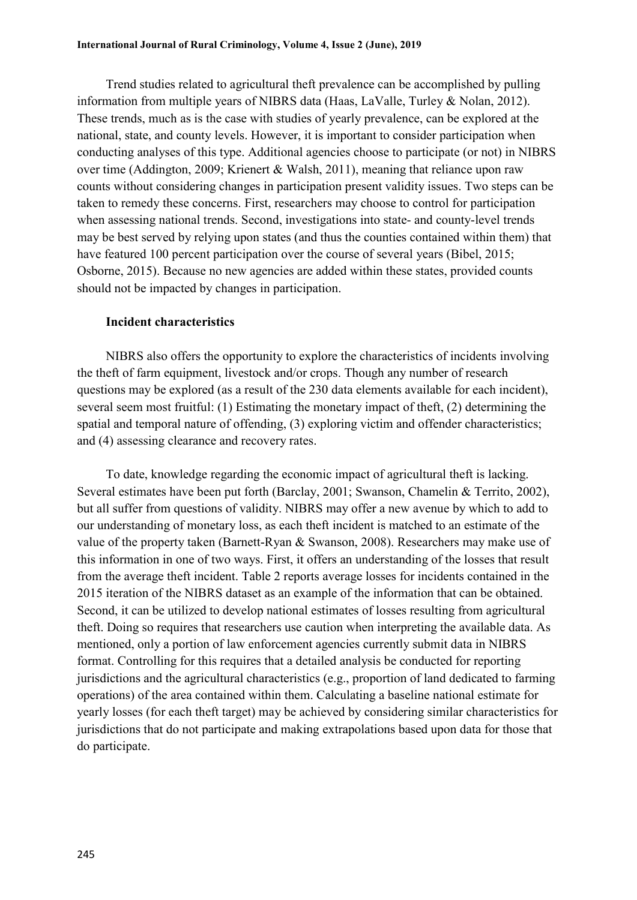Trend studies related to agricultural theft prevalence can be accomplished by pulling information from multiple years of NIBRS data (Haas, LaValle, Turley & Nolan, 2012). These trends, much as is the case with studies of yearly prevalence, can be explored at the national, state, and county levels. However, it is important to consider participation when conducting analyses of this type. Additional agencies choose to participate (or not) in NIBRS over time (Addington, 2009; Krienert & Walsh, 2011), meaning that reliance upon raw counts without considering changes in participation present validity issues. Two steps can be taken to remedy these concerns. First, researchers may choose to control for participation when assessing national trends. Second, investigations into state- and county-level trends may be best served by relying upon states (and thus the counties contained within them) that have featured 100 percent participation over the course of several years (Bibel, 2015; Osborne, 2015). Because no new agencies are added within these states, provided counts should not be impacted by changes in participation.

#### **Incident characteristics**

NIBRS also offers the opportunity to explore the characteristics of incidents involving the theft of farm equipment, livestock and/or crops. Though any number of research questions may be explored (as a result of the 230 data elements available for each incident), several seem most fruitful: (1) Estimating the monetary impact of theft, (2) determining the spatial and temporal nature of offending, (3) exploring victim and offender characteristics; and (4) assessing clearance and recovery rates.

To date, knowledge regarding the economic impact of agricultural theft is lacking. Several estimates have been put forth (Barclay, 2001; Swanson, Chamelin & Territo, 2002), but all suffer from questions of validity. NIBRS may offer a new avenue by which to add to our understanding of monetary loss, as each theft incident is matched to an estimate of the value of the property taken (Barnett-Ryan & Swanson, 2008). Researchers may make use of this information in one of two ways. First, it offers an understanding of the losses that result from the average theft incident. Table 2 reports average losses for incidents contained in the 2015 iteration of the NIBRS dataset as an example of the information that can be obtained. Second, it can be utilized to develop national estimates of losses resulting from agricultural theft. Doing so requires that researchers use caution when interpreting the available data. As mentioned, only a portion of law enforcement agencies currently submit data in NIBRS format. Controlling for this requires that a detailed analysis be conducted for reporting jurisdictions and the agricultural characteristics (e.g., proportion of land dedicated to farming operations) of the area contained within them. Calculating a baseline national estimate for yearly losses (for each theft target) may be achieved by considering similar characteristics for jurisdictions that do not participate and making extrapolations based upon data for those that do participate.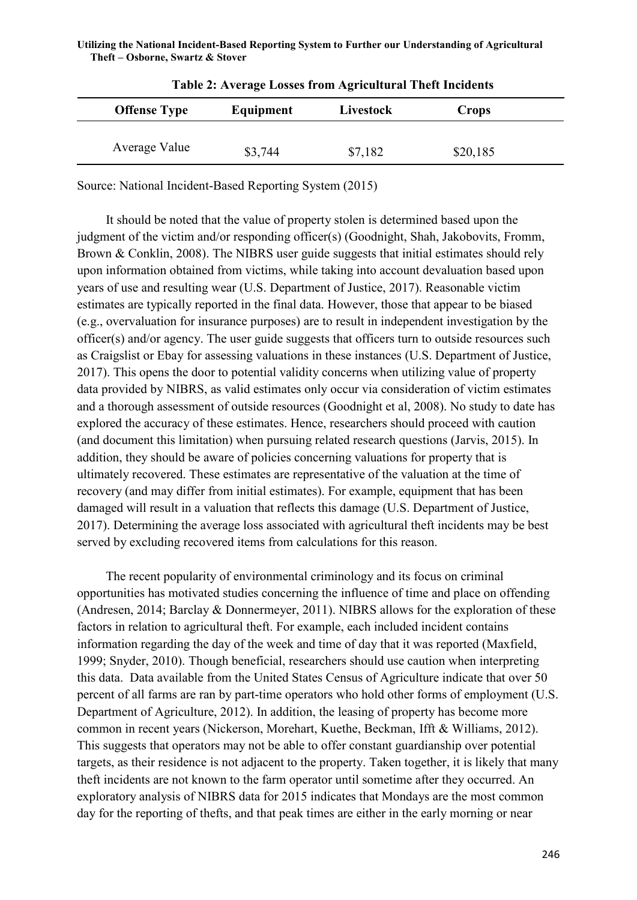| <b>Offense Type</b> | Equipment | Livestock | Crops    |  |
|---------------------|-----------|-----------|----------|--|
| Average Value       | \$3,744   | \$7,182   | \$20,185 |  |

| <b>Table 2: Average Losses from Agricultural Theft Incidents</b> |  |  |
|------------------------------------------------------------------|--|--|
|                                                                  |  |  |

Source: National Incident-Based Reporting System (2015)

It should be noted that the value of property stolen is determined based upon the judgment of the victim and/or responding officer(s) (Goodnight, Shah, Jakobovits, Fromm, Brown & Conklin, 2008). The NIBRS user guide suggests that initial estimates should rely upon information obtained from victims, while taking into account devaluation based upon years of use and resulting wear (U.S. Department of Justice, 2017). Reasonable victim estimates are typically reported in the final data. However, those that appear to be biased (e.g., overvaluation for insurance purposes) are to result in independent investigation by the officer(s) and/or agency. The user guide suggests that officers turn to outside resources such as Craigslist or Ebay for assessing valuations in these instances (U.S. Department of Justice, 2017). This opens the door to potential validity concerns when utilizing value of property data provided by NIBRS, as valid estimates only occur via consideration of victim estimates and a thorough assessment of outside resources (Goodnight et al, 2008). No study to date has explored the accuracy of these estimates. Hence, researchers should proceed with caution (and document this limitation) when pursuing related research questions (Jarvis, 2015). In addition, they should be aware of policies concerning valuations for property that is ultimately recovered. These estimates are representative of the valuation at the time of recovery (and may differ from initial estimates). For example, equipment that has been damaged will result in a valuation that reflects this damage (U.S. Department of Justice, 2017). Determining the average loss associated with agricultural theft incidents may be best served by excluding recovered items from calculations for this reason.

The recent popularity of environmental criminology and its focus on criminal opportunities has motivated studies concerning the influence of time and place on offending (Andresen, 2014; Barclay & Donnermeyer, 2011). NIBRS allows for the exploration of these factors in relation to agricultural theft. For example, each included incident contains information regarding the day of the week and time of day that it was reported (Maxfield, 1999; Snyder, 2010). Though beneficial, researchers should use caution when interpreting this data. Data available from the United States Census of Agriculture indicate that over 50 percent of all farms are ran by part-time operators who hold other forms of employment (U.S. Department of Agriculture, 2012). In addition, the leasing of property has become more common in recent years (Nickerson, Morehart, Kuethe, Beckman, Ifft & Williams, 2012). This suggests that operators may not be able to offer constant guardianship over potential targets, as their residence is not adjacent to the property. Taken together, it is likely that many theft incidents are not known to the farm operator until sometime after they occurred. An exploratory analysis of NIBRS data for 2015 indicates that Mondays are the most common day for the reporting of thefts, and that peak times are either in the early morning or near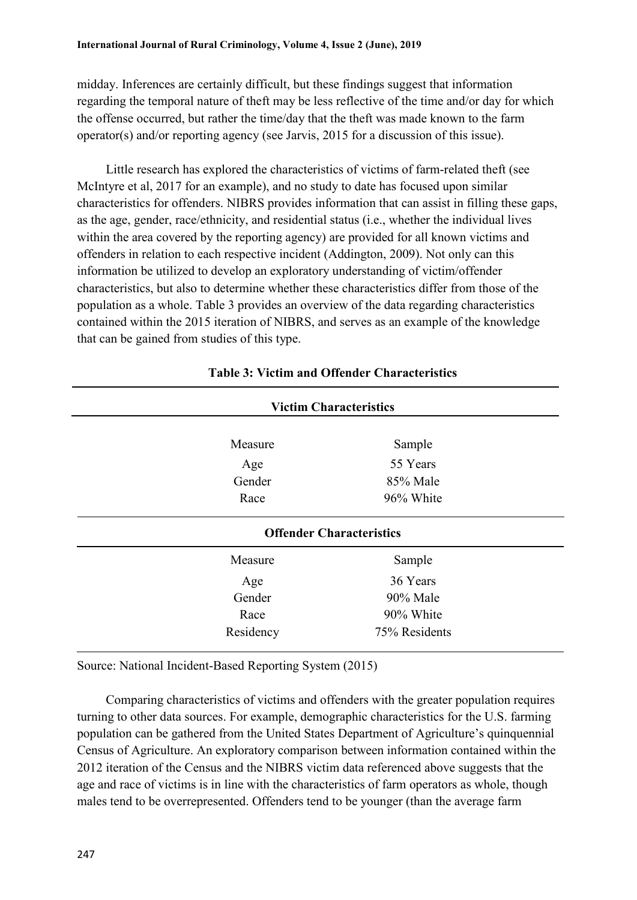midday. Inferences are certainly difficult, but these findings suggest that information regarding the temporal nature of theft may be less reflective of the time and/or day for which the offense occurred, but rather the time/day that the theft was made known to the farm operator(s) and/or reporting agency (see Jarvis, 2015 for a discussion of this issue).

Little research has explored the characteristics of victims of farm-related theft (see McIntyre et al, 2017 for an example), and no study to date has focused upon similar characteristics for offenders. NIBRS provides information that can assist in filling these gaps, as the age, gender, race/ethnicity, and residential status (i.e., whether the individual lives within the area covered by the reporting agency) are provided for all known victims and offenders in relation to each respective incident (Addington, 2009). Not only can this information be utilized to develop an exploratory understanding of victim/offender characteristics, but also to determine whether these characteristics differ from those of the population as a whole. Table 3 provides an overview of the data regarding characteristics contained within the 2015 iteration of NIBRS, and serves as an example of the knowledge that can be gained from studies of this type.

|           | <b>Victim Characteristics</b>   |  |
|-----------|---------------------------------|--|
| Measure   | Sample                          |  |
| Age       | 55 Years                        |  |
| Gender    | 85% Male                        |  |
| Race      | 96% White                       |  |
|           | <b>Offender Characteristics</b> |  |
| Measure   | Sample                          |  |
| Age       | 36 Years                        |  |
| Gender    | 90% Male                        |  |
| Race      | 90% White                       |  |
| Residency | 75% Residents                   |  |

### **Table 3: Victim and Offender Characteristics**

Source: National Incident-Based Reporting System (2015)

Comparing characteristics of victims and offenders with the greater population requires turning to other data sources. For example, demographic characteristics for the U.S. farming population can be gathered from the United States Department of Agriculture's quinquennial Census of Agriculture. An exploratory comparison between information contained within the 2012 iteration of the Census and the NIBRS victim data referenced above suggests that the age and race of victims is in line with the characteristics of farm operators as whole, though males tend to be overrepresented. Offenders tend to be younger (than the average farm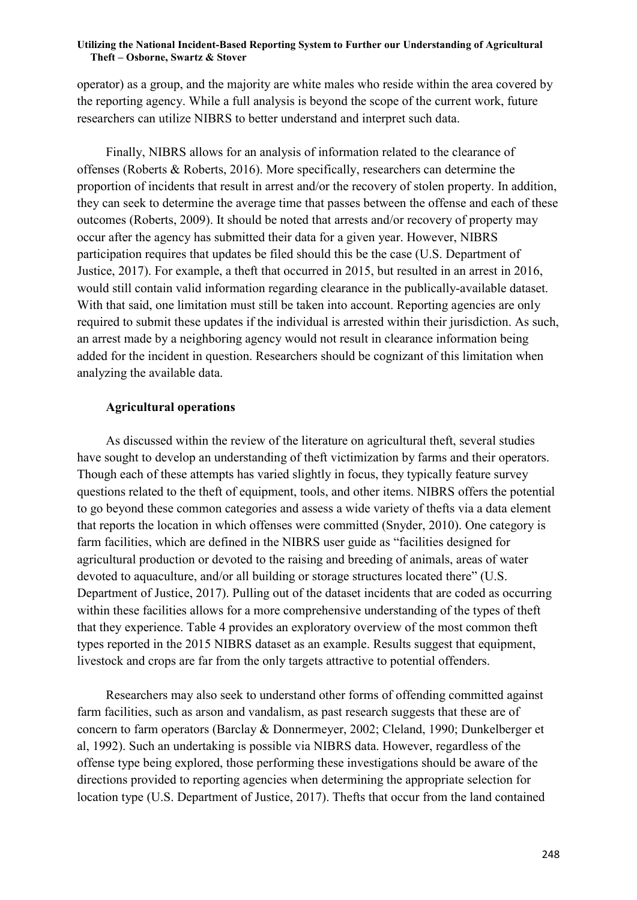operator) as a group, and the majority are white males who reside within the area covered by the reporting agency. While a full analysis is beyond the scope of the current work, future researchers can utilize NIBRS to better understand and interpret such data.

Finally, NIBRS allows for an analysis of information related to the clearance of offenses (Roberts & Roberts, 2016). More specifically, researchers can determine the proportion of incidents that result in arrest and/or the recovery of stolen property. In addition, they can seek to determine the average time that passes between the offense and each of these outcomes (Roberts, 2009). It should be noted that arrests and/or recovery of property may occur after the agency has submitted their data for a given year. However, NIBRS participation requires that updates be filed should this be the case (U.S. Department of Justice, 2017). For example, a theft that occurred in 2015, but resulted in an arrest in 2016, would still contain valid information regarding clearance in the publically-available dataset. With that said, one limitation must still be taken into account. Reporting agencies are only required to submit these updates if the individual is arrested within their jurisdiction. As such, an arrest made by a neighboring agency would not result in clearance information being added for the incident in question. Researchers should be cognizant of this limitation when analyzing the available data.

### **Agricultural operations**

As discussed within the review of the literature on agricultural theft, several studies have sought to develop an understanding of theft victimization by farms and their operators. Though each of these attempts has varied slightly in focus, they typically feature survey questions related to the theft of equipment, tools, and other items. NIBRS offers the potential to go beyond these common categories and assess a wide variety of thefts via a data element that reports the location in which offenses were committed (Snyder, 2010). One category is farm facilities, which are defined in the NIBRS user guide as "facilities designed for agricultural production or devoted to the raising and breeding of animals, areas of water devoted to aquaculture, and/or all building or storage structures located there" (U.S. Department of Justice, 2017). Pulling out of the dataset incidents that are coded as occurring within these facilities allows for a more comprehensive understanding of the types of theft that they experience. Table 4 provides an exploratory overview of the most common theft types reported in the 2015 NIBRS dataset as an example. Results suggest that equipment, livestock and crops are far from the only targets attractive to potential offenders.

Researchers may also seek to understand other forms of offending committed against farm facilities, such as arson and vandalism, as past research suggests that these are of concern to farm operators (Barclay & Donnermeyer, 2002; Cleland, 1990; Dunkelberger et al, 1992). Such an undertaking is possible via NIBRS data. However, regardless of the offense type being explored, those performing these investigations should be aware of the directions provided to reporting agencies when determining the appropriate selection for location type (U.S. Department of Justice, 2017). Thefts that occur from the land contained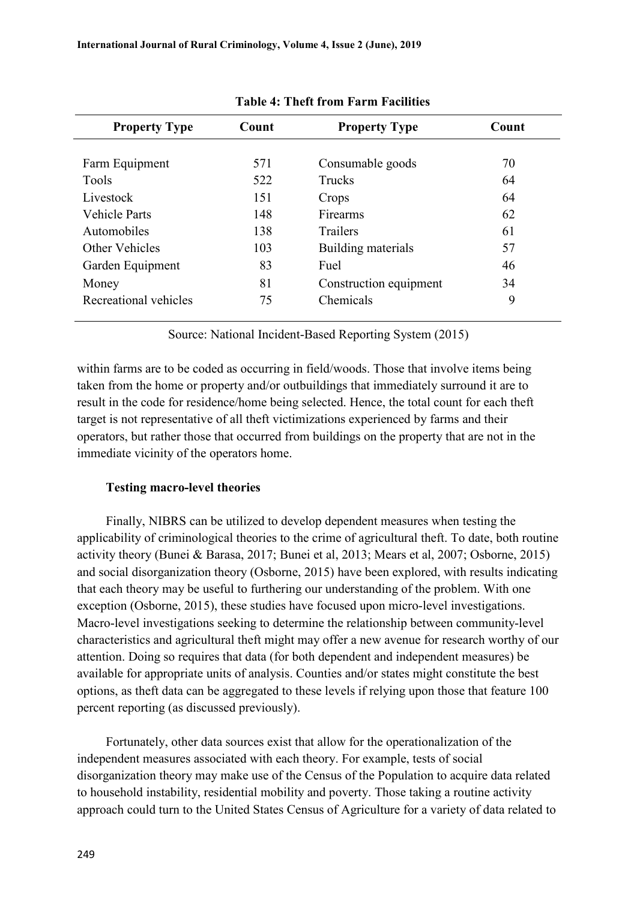| <b>Property Type</b>  | Count | <b>Property Type</b>   | Count |
|-----------------------|-------|------------------------|-------|
|                       |       |                        |       |
| Farm Equipment        | 571   | Consumable goods       | 70    |
| Tools                 | 522   | <b>Trucks</b>          | 64    |
| Livestock             | 151   | Crops                  | 64    |
| <b>Vehicle Parts</b>  | 148   | Firearms               | 62    |
| Automobiles           | 138   | Trailers               | 61    |
| Other Vehicles        | 103   | Building materials     | 57    |
| Garden Equipment      | 83    | Fuel                   | 46    |
| Money                 | 81    | Construction equipment | 34    |
| Recreational vehicles | 75    | Chemicals              | 9     |

**Table 4: Theft from Farm Facilities**

Source: National Incident-Based Reporting System (2015)

within farms are to be coded as occurring in field/woods. Those that involve items being taken from the home or property and/or outbuildings that immediately surround it are to result in the code for residence/home being selected. Hence, the total count for each theft target is not representative of all theft victimizations experienced by farms and their operators, but rather those that occurred from buildings on the property that are not in the immediate vicinity of the operators home.

### **Testing macro-level theories**

Finally, NIBRS can be utilized to develop dependent measures when testing the applicability of criminological theories to the crime of agricultural theft. To date, both routine activity theory (Bunei & Barasa, 2017; Bunei et al, 2013; Mears et al, 2007; Osborne, 2015) and social disorganization theory (Osborne, 2015) have been explored, with results indicating that each theory may be useful to furthering our understanding of the problem. With one exception (Osborne, 2015), these studies have focused upon micro-level investigations. Macro-level investigations seeking to determine the relationship between community-level characteristics and agricultural theft might may offer a new avenue for research worthy of our attention. Doing so requires that data (for both dependent and independent measures) be available for appropriate units of analysis. Counties and/or states might constitute the best options, as theft data can be aggregated to these levels if relying upon those that feature 100 percent reporting (as discussed previously).

Fortunately, other data sources exist that allow for the operationalization of the independent measures associated with each theory. For example, tests of social disorganization theory may make use of the Census of the Population to acquire data related to household instability, residential mobility and poverty. Those taking a routine activity approach could turn to the United States Census of Agriculture for a variety of data related to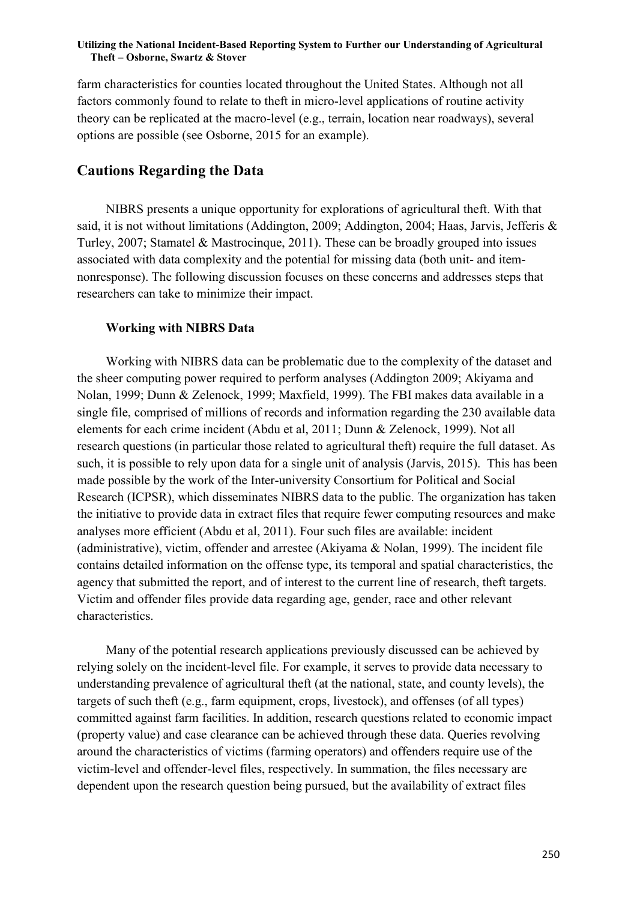farm characteristics for counties located throughout the United States. Although not all factors commonly found to relate to theft in micro-level applications of routine activity theory can be replicated at the macro-level (e.g., terrain, location near roadways), several options are possible (see Osborne, 2015 for an example).

### **Cautions Regarding the Data**

NIBRS presents a unique opportunity for explorations of agricultural theft. With that said, it is not without limitations (Addington, 2009; Addington, 2004; Haas, Jarvis, Jefferis & Turley, 2007; Stamatel & Mastrocinque, 2011). These can be broadly grouped into issues associated with data complexity and the potential for missing data (both unit- and itemnonresponse). The following discussion focuses on these concerns and addresses steps that researchers can take to minimize their impact.

#### **Working with NIBRS Data**

Working with NIBRS data can be problematic due to the complexity of the dataset and the sheer computing power required to perform analyses (Addington 2009; Akiyama and Nolan, 1999; Dunn & Zelenock, 1999; Maxfield, 1999). The FBI makes data available in a single file, comprised of millions of records and information regarding the 230 available data elements for each crime incident (Abdu et al, 2011; Dunn & Zelenock, 1999). Not all research questions (in particular those related to agricultural theft) require the full dataset. As such, it is possible to rely upon data for a single unit of analysis (Jarvis, 2015). This has been made possible by the work of the Inter-university Consortium for Political and Social Research (ICPSR), which disseminates NIBRS data to the public. The organization has taken the initiative to provide data in extract files that require fewer computing resources and make analyses more efficient (Abdu et al, 2011). Four such files are available: incident (administrative), victim, offender and arrestee (Akiyama & Nolan, 1999). The incident file contains detailed information on the offense type, its temporal and spatial characteristics, the agency that submitted the report, and of interest to the current line of research, theft targets. Victim and offender files provide data regarding age, gender, race and other relevant characteristics.

Many of the potential research applications previously discussed can be achieved by relying solely on the incident-level file. For example, it serves to provide data necessary to understanding prevalence of agricultural theft (at the national, state, and county levels), the targets of such theft (e.g., farm equipment, crops, livestock), and offenses (of all types) committed against farm facilities. In addition, research questions related to economic impact (property value) and case clearance can be achieved through these data. Queries revolving around the characteristics of victims (farming operators) and offenders require use of the victim-level and offender-level files, respectively. In summation, the files necessary are dependent upon the research question being pursued, but the availability of extract files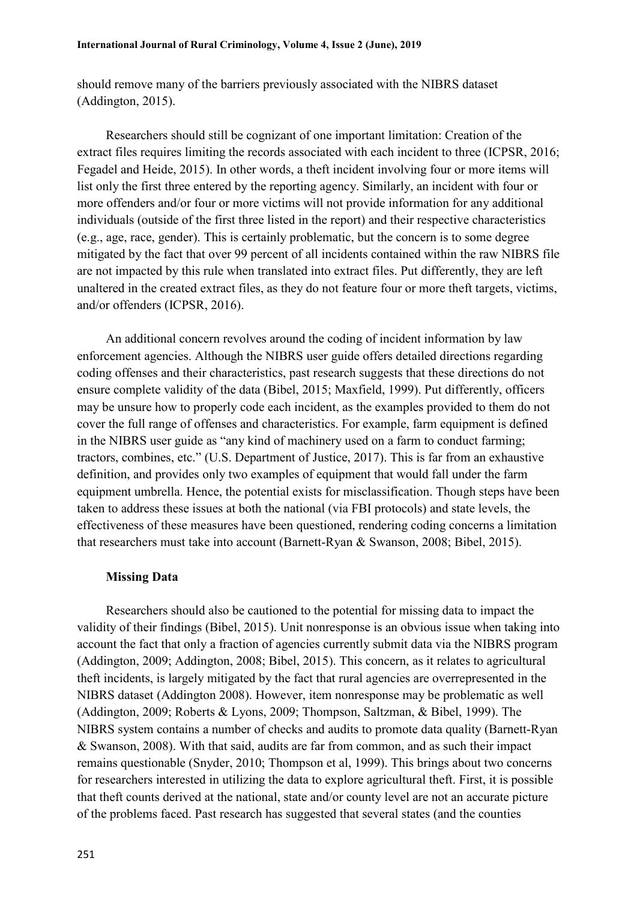should remove many of the barriers previously associated with the NIBRS dataset (Addington, 2015).

Researchers should still be cognizant of one important limitation: Creation of the extract files requires limiting the records associated with each incident to three (ICPSR, 2016; Fegadel and Heide, 2015). In other words, a theft incident involving four or more items will list only the first three entered by the reporting agency. Similarly, an incident with four or more offenders and/or four or more victims will not provide information for any additional individuals (outside of the first three listed in the report) and their respective characteristics (e.g., age, race, gender). This is certainly problematic, but the concern is to some degree mitigated by the fact that over 99 percent of all incidents contained within the raw NIBRS file are not impacted by this rule when translated into extract files. Put differently, they are left unaltered in the created extract files, as they do not feature four or more theft targets, victims, and/or offenders (ICPSR, 2016).

An additional concern revolves around the coding of incident information by law enforcement agencies. Although the NIBRS user guide offers detailed directions regarding coding offenses and their characteristics, past research suggests that these directions do not ensure complete validity of the data (Bibel, 2015; Maxfield, 1999). Put differently, officers may be unsure how to properly code each incident, as the examples provided to them do not cover the full range of offenses and characteristics. For example, farm equipment is defined in the NIBRS user guide as "any kind of machinery used on a farm to conduct farming; tractors, combines, etc." (U.S. Department of Justice, 2017). This is far from an exhaustive definition, and provides only two examples of equipment that would fall under the farm equipment umbrella. Hence, the potential exists for misclassification. Though steps have been taken to address these issues at both the national (via FBI protocols) and state levels, the effectiveness of these measures have been questioned, rendering coding concerns a limitation that researchers must take into account (Barnett-Ryan & Swanson, 2008; Bibel, 2015).

### **Missing Data**

Researchers should also be cautioned to the potential for missing data to impact the validity of their findings (Bibel, 2015). Unit nonresponse is an obvious issue when taking into account the fact that only a fraction of agencies currently submit data via the NIBRS program (Addington, 2009; Addington, 2008; Bibel, 2015). This concern, as it relates to agricultural theft incidents, is largely mitigated by the fact that rural agencies are overrepresented in the NIBRS dataset (Addington 2008). However, item nonresponse may be problematic as well (Addington, 2009; Roberts & Lyons, 2009; Thompson, Saltzman, & Bibel, 1999). The NIBRS system contains a number of checks and audits to promote data quality (Barnett-Ryan & Swanson, 2008). With that said, audits are far from common, and as such their impact remains questionable (Snyder, 2010; Thompson et al, 1999). This brings about two concerns for researchers interested in utilizing the data to explore agricultural theft. First, it is possible that theft counts derived at the national, state and/or county level are not an accurate picture of the problems faced. Past research has suggested that several states (and the counties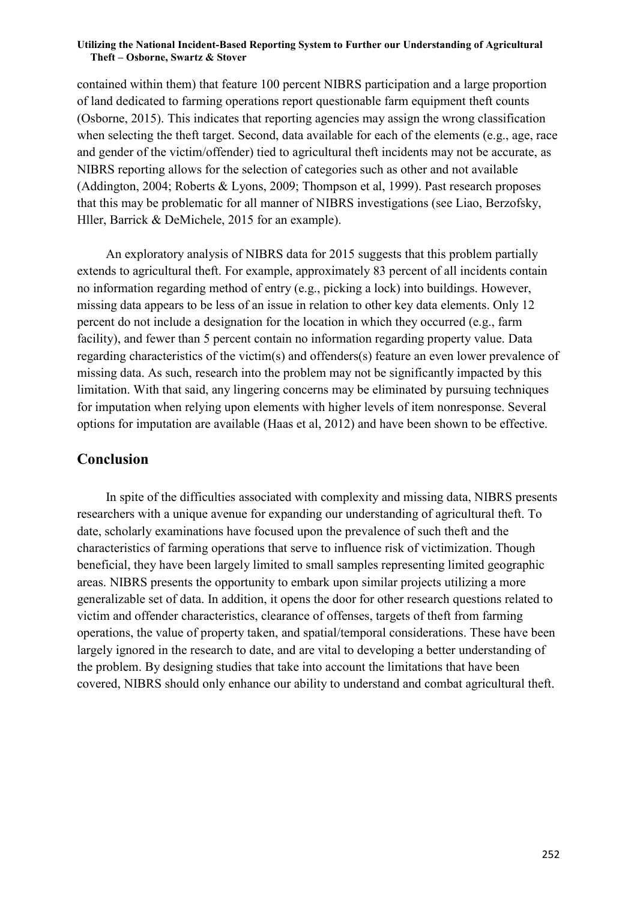contained within them) that feature 100 percent NIBRS participation and a large proportion of land dedicated to farming operations report questionable farm equipment theft counts (Osborne, 2015). This indicates that reporting agencies may assign the wrong classification when selecting the theft target. Second, data available for each of the elements (e.g., age, race and gender of the victim/offender) tied to agricultural theft incidents may not be accurate, as NIBRS reporting allows for the selection of categories such as other and not available (Addington, 2004; Roberts & Lyons, 2009; Thompson et al, 1999). Past research proposes that this may be problematic for all manner of NIBRS investigations (see Liao, Berzofsky, Hller, Barrick & DeMichele, 2015 for an example).

An exploratory analysis of NIBRS data for 2015 suggests that this problem partially extends to agricultural theft. For example, approximately 83 percent of all incidents contain no information regarding method of entry (e.g., picking a lock) into buildings. However, missing data appears to be less of an issue in relation to other key data elements. Only 12 percent do not include a designation for the location in which they occurred (e.g., farm facility), and fewer than 5 percent contain no information regarding property value. Data regarding characteristics of the victim(s) and offenders(s) feature an even lower prevalence of missing data. As such, research into the problem may not be significantly impacted by this limitation. With that said, any lingering concerns may be eliminated by pursuing techniques for imputation when relying upon elements with higher levels of item nonresponse. Several options for imputation are available (Haas et al, 2012) and have been shown to be effective.

### **Conclusion**

In spite of the difficulties associated with complexity and missing data, NIBRS presents researchers with a unique avenue for expanding our understanding of agricultural theft. To date, scholarly examinations have focused upon the prevalence of such theft and the characteristics of farming operations that serve to influence risk of victimization. Though beneficial, they have been largely limited to small samples representing limited geographic areas. NIBRS presents the opportunity to embark upon similar projects utilizing a more generalizable set of data. In addition, it opens the door for other research questions related to victim and offender characteristics, clearance of offenses, targets of theft from farming operations, the value of property taken, and spatial/temporal considerations. These have been largely ignored in the research to date, and are vital to developing a better understanding of the problem. By designing studies that take into account the limitations that have been covered, NIBRS should only enhance our ability to understand and combat agricultural theft.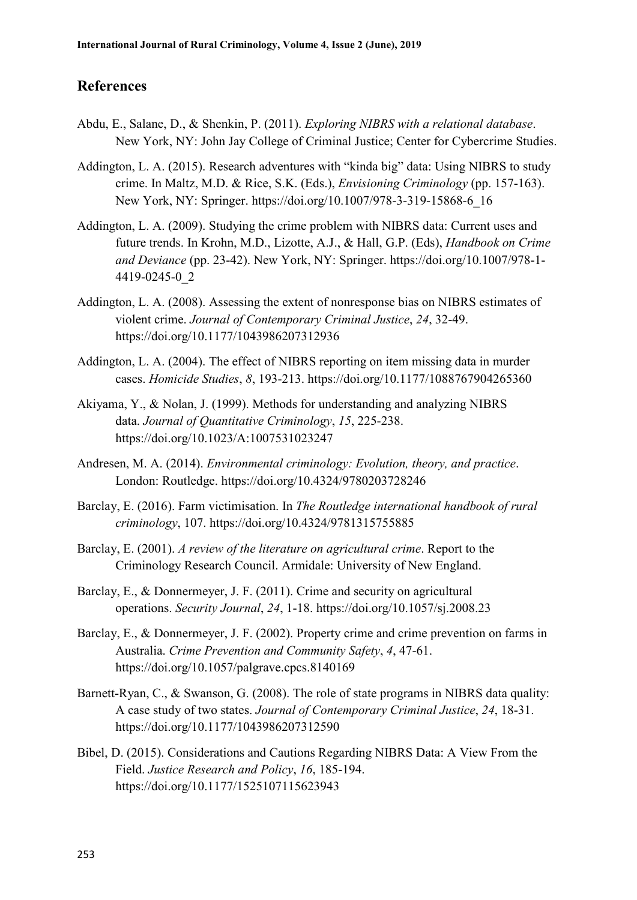### **References**

- Abdu, E., Salane, D., & Shenkin, P. (2011). *Exploring NIBRS with a relational database*. New York, NY: John Jay College of Criminal Justice; Center for Cybercrime Studies.
- Addington, L. A. (2015). Research adventures with "kinda big" data: Using NIBRS to study crime. In Maltz, M.D. & Rice, S.K. (Eds.), *Envisioning Criminology* (pp. 157-163). New York, NY: Springer. [https://doi.org/10.1007/978-3-319-15868-6\\_16](https://doi.org/10.1007/978-3-319-15868-6_16)
- Addington, L. A. (2009). Studying the crime problem with NIBRS data: Current uses and future trends. In Krohn, M.D., Lizotte, A.J., & Hall, G.P. (Eds), *Handbook on Crime and Deviance* (pp. 23-42). New York, NY: Springer. [https://doi.org/10.1007/978-1-](https://doi.org/10.1007/978-1-4419-0245-0_2) [4419-0245-0\\_2](https://doi.org/10.1007/978-1-4419-0245-0_2)
- Addington, L. A. (2008). Assessing the extent of nonresponse bias on NIBRS estimates of violent crime. *Journal of Contemporary Criminal Justice*, *24*, 32-49. <https://doi.org/10.1177/1043986207312936>
- Addington, L. A. (2004). The effect of NIBRS reporting on item missing data in murder cases. *Homicide Studies*, *8*, 193-213. <https://doi.org/10.1177/1088767904265360>
- Akiyama, Y., & Nolan, J. (1999). Methods for understanding and analyzing NIBRS data. *Journal of Quantitative Criminology*, *15*, 225-238. <https://doi.org/10.1023/A:1007531023247>
- Andresen, M. A. (2014). *Environmental criminology: Evolution, theory, and practice*. London: Routledge. <https://doi.org/10.4324/9780203728246>
- Barclay, E. (2016). Farm victimisation. In *The Routledge international handbook of rural criminology*, 107. <https://doi.org/10.4324/9781315755885>
- Barclay, E. (2001). *A review of the literature on agricultural crime*. Report to the Criminology Research Council. Armidale: University of New England.
- Barclay, E., & Donnermeyer, J. F. (2011). Crime and security on agricultural operations. *Security Journal*, *24*, 1-18. <https://doi.org/10.1057/sj.2008.23>
- Barclay, E., & Donnermeyer, J. F. (2002). Property crime and crime prevention on farms in Australia. *Crime Prevention and Community Safety*, *4*, 47-61. <https://doi.org/10.1057/palgrave.cpcs.8140169>
- Barnett-Ryan, C., & Swanson, G. (2008). The role of state programs in NIBRS data quality: A case study of two states. *Journal of Contemporary Criminal Justice*, *24*, 18-31. <https://doi.org/10.1177/1043986207312590>
- Bibel, D. (2015). Considerations and Cautions Regarding NIBRS Data: A View From the Field. *Justice Research and Policy*, *16*, 185-194. <https://doi.org/10.1177/1525107115623943>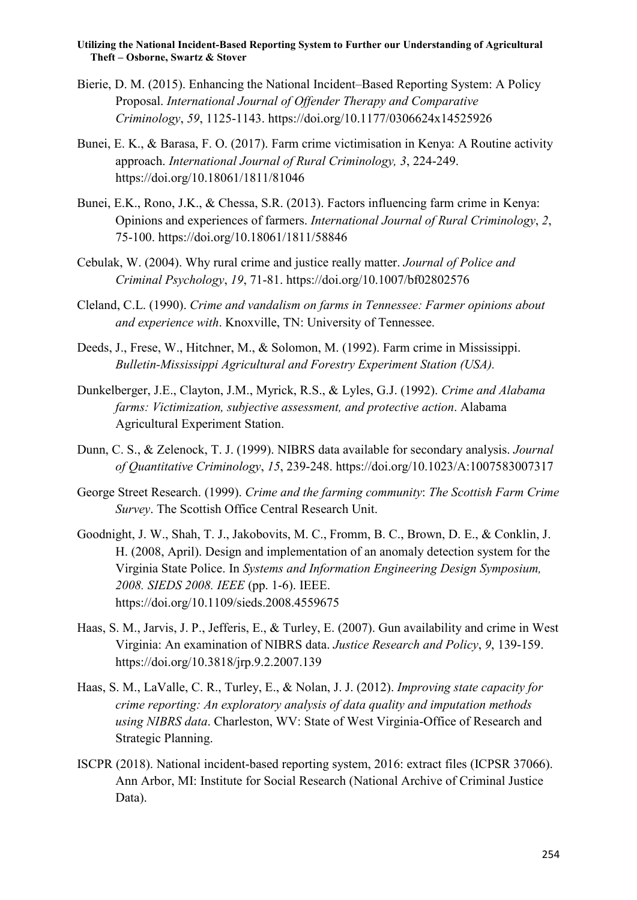- Bierie, D. M. (2015). Enhancing the National Incident–Based Reporting System: A Policy Proposal. *International Journal of Offender Therapy and Comparative Criminology*, *59*, 1125-1143. <https://doi.org/10.1177/0306624x14525926>
- Bunei, E. K., & Barasa, F. O. (2017). Farm crime victimisation in Kenya: A Routine activity approach. *International Journal of Rural Criminology, 3*, 224-249. <https://doi.org/10.18061/1811/81046>
- Bunei, E.K., Rono, J.K., & Chessa, S.R. (2013). Factors influencing farm crime in Kenya: Opinions and experiences of farmers. *International Journal of Rural Criminology*, *2*, 75-100. <https://doi.org/10.18061/1811/58846>
- Cebulak, W. (2004). Why rural crime and justice really matter. *Journal of Police and Criminal Psychology*, *19*, 71-81. <https://doi.org/10.1007/bf02802576>
- Cleland, C.L. (1990). *Crime and vandalism on farms in Tennessee: Farmer opinions about and experience with*. Knoxville, TN: University of Tennessee.
- Deeds, J., Frese, W., Hitchner, M., & Solomon, M. (1992). Farm crime in Mississippi. *Bulletin-Mississippi Agricultural and Forestry Experiment Station (USA).*
- Dunkelberger, J.E., Clayton, J.M., Myrick, R.S., & Lyles, G.J. (1992). *Crime and Alabama farms: Victimization, subjective assessment, and protective action*. Alabama Agricultural Experiment Station.
- Dunn, C. S., & Zelenock, T. J. (1999). NIBRS data available for secondary analysis. *Journal of Quantitative Criminology*, *15*, 239-248. <https://doi.org/10.1023/A:1007583007317>
- George Street Research. (1999). *Crime and the farming community*: *The Scottish Farm Crime Survey*. The Scottish Office Central Research Unit.
- Goodnight, J. W., Shah, T. J., Jakobovits, M. C., Fromm, B. C., Brown, D. E., & Conklin, J. H. (2008, April). Design and implementation of an anomaly detection system for the Virginia State Police. In *Systems and Information Engineering Design Symposium, 2008. SIEDS 2008. IEEE* (pp. 1-6). IEEE. <https://doi.org/10.1109/sieds.2008.4559675>
- Haas, S. M., Jarvis, J. P., Jefferis, E., & Turley, E. (2007). Gun availability and crime in West Virginia: An examination of NIBRS data. *Justice Research and Policy*, *9*, 139-159. <https://doi.org/10.3818/jrp.9.2.2007.139>
- Haas, S. M., LaValle, C. R., Turley, E., & Nolan, J. J. (2012). *Improving state capacity for crime reporting: An exploratory analysis of data quality and imputation methods using NIBRS data*. Charleston, WV: State of West Virginia-Office of Research and Strategic Planning.
- ISCPR (2018). National incident-based reporting system, 2016: extract files (ICPSR 37066). Ann Arbor, MI: Institute for Social Research (National Archive of Criminal Justice Data).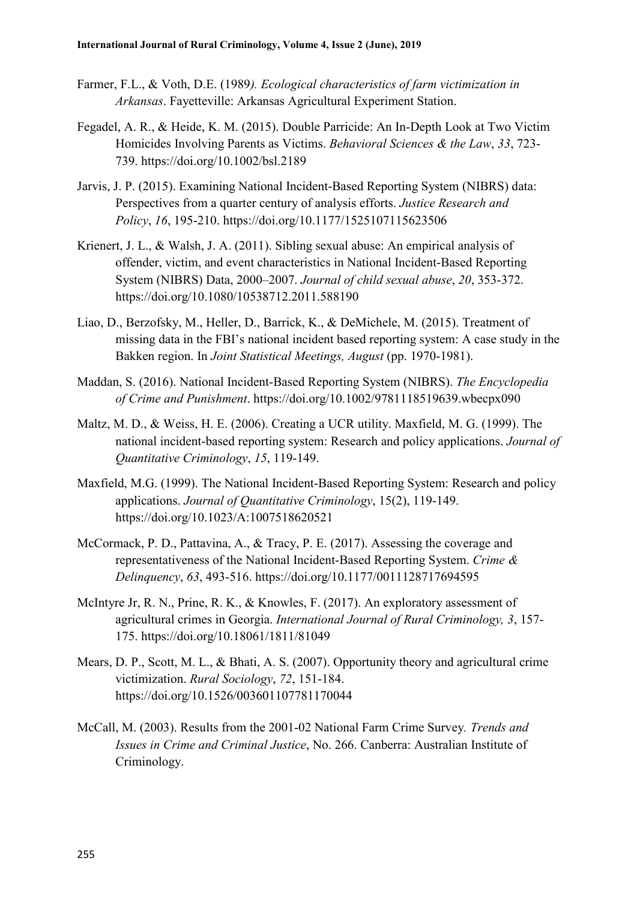- Farmer, F.L., & Voth, D.E. (1989*). Ecological characteristics of farm victimization in Arkansas*. Fayetteville: Arkansas Agricultural Experiment Station.
- Fegadel, A. R., & Heide, K. M. (2015). Double Parricide: An In‐Depth Look at Two Victim Homicides Involving Parents as Victims. *Behavioral Sciences & the Law*, *33*, 723- 739. <https://doi.org/10.1002/bsl.2189>
- Jarvis, J. P. (2015). Examining National Incident-Based Reporting System (NIBRS) data: Perspectives from a quarter century of analysis efforts. *Justice Research and Policy*, *16*, 195-210. <https://doi.org/10.1177/1525107115623506>
- Krienert, J. L., & Walsh, J. A. (2011). Sibling sexual abuse: An empirical analysis of offender, victim, and event characteristics in National Incident-Based Reporting System (NIBRS) Data, 2000–2007. *Journal of child sexual abuse*, *20*, 353-372. <https://doi.org/10.1080/10538712.2011.588190>
- Liao, D., Berzofsky, M., Heller, D., Barrick, K., & DeMichele, M. (2015). Treatment of missing data in the FBI's national incident based reporting system: A case study in the Bakken region. In *Joint Statistical Meetings, August* (pp. 1970-1981).
- Maddan, S. (2016). National Incident‐Based Reporting System (NIBRS). *The Encyclopedia of Crime and Punishment*. <https://doi.org/10.1002/9781118519639.wbecpx090>
- Maltz, M. D., & Weiss, H. E. (2006). Creating a UCR utility. Maxfield, M. G. (1999). The national incident-based reporting system: Research and policy applications. *Journal of Quantitative Criminology*, *15*, 119-149.
- Maxfield, M.G. (1999). The National Incident-Based Reporting System: Research and policy applications. *Journal of Quantitative Criminology*, 15(2), 119-149. <https://doi.org/10.1023/A:1007518620521>
- McCormack, P. D., Pattavina, A., & Tracy, P. E. (2017). Assessing the coverage and representativeness of the National Incident-Based Reporting System. *Crime & Delinquency*, *63*, 493-516. <https://doi.org/10.1177/0011128717694595>
- McIntyre Jr, R. N., Prine, R. K., & Knowles, F. (2017). An exploratory assessment of agricultural crimes in Georgia. *International Journal of Rural Criminology, 3*, 157- 175. <https://doi.org/10.18061/1811/81049>
- Mears, D. P., Scott, M. L., & Bhati, A. S. (2007). Opportunity theory and agricultural crime victimization. *Rural Sociology*, *72*, 151-184. <https://doi.org/10.1526/003601107781170044>
- McCall, M. (2003). Results from the 2001-02 National Farm Crime Survey*. Trends and Issues in Crime and Criminal Justice*, No. 266. Canberra: Australian Institute of Criminology.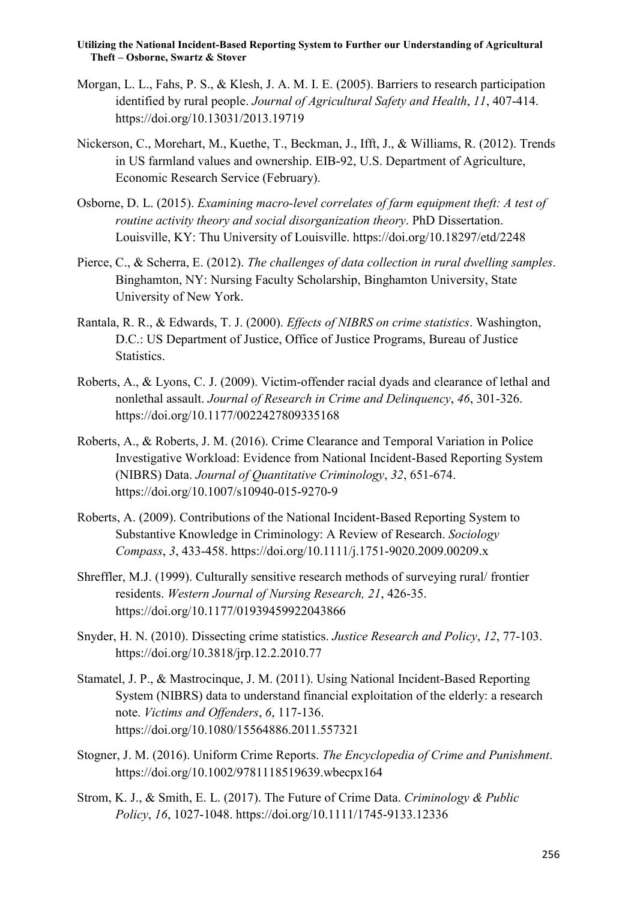- Morgan, L. L., Fahs, P. S., & Klesh, J. A. M. I. E. (2005). Barriers to research participation identified by rural people. *Journal of Agricultural Safety and Health*, *11*, 407-414. <https://doi.org/10.13031/2013.19719>
- Nickerson, C., Morehart, M., Kuethe, T., Beckman, J., Ifft, J., & Williams, R. (2012). Trends in US farmland values and ownership. EIB-92, U.S. Department of Agriculture, Economic Research Service (February).
- Osborne, D. L. (2015). *Examining macro-level correlates of farm equipment theft: A test of routine activity theory and social disorganization theory*. PhD Dissertation. Louisville, KY: Thu University of Louisville.<https://doi.org/10.18297/etd/2248>
- Pierce, C., & Scherra, E. (2012). *The challenges of data collection in rural dwelling samples*. Binghamton, NY: Nursing Faculty Scholarship, Binghamton University, State University of New York.
- Rantala, R. R., & Edwards, T. J. (2000). *Effects of NIBRS on crime statistics*. Washington, D.C.: US Department of Justice, Office of Justice Programs, Bureau of Justice Statistics.
- Roberts, A., & Lyons, C. J. (2009). Victim-offender racial dyads and clearance of lethal and nonlethal assault. *Journal of Research in Crime and Delinquency*, *46*, 301-326. <https://doi.org/10.1177/0022427809335168>
- Roberts, A., & Roberts, J. M. (2016). Crime Clearance and Temporal Variation in Police Investigative Workload: Evidence from National Incident-Based Reporting System (NIBRS) Data. *Journal of Quantitative Criminology*, *32*, 651-674. <https://doi.org/10.1007/s10940-015-9270-9>
- Roberts, A. (2009). Contributions of the National Incident‐Based Reporting System to Substantive Knowledge in Criminology: A Review of Research. *Sociology Compass*, *3*, 433-458. <https://doi.org/10.1111/j.1751-9020.2009.00209.x>
- Shreffler, M.J. (1999). Culturally sensitive research methods of surveying rural/ frontier residents. *Western Journal of Nursing Research, 21*, 426-35. <https://doi.org/10.1177/01939459922043866>
- Snyder, H. N. (2010). Dissecting crime statistics. *Justice Research and Policy*, *12*, 77-103. <https://doi.org/10.3818/jrp.12.2.2010.77>
- Stamatel, J. P., & Mastrocinque, J. M. (2011). Using National Incident-Based Reporting System (NIBRS) data to understand financial exploitation of the elderly: a research note. *Victims and Offenders*, *6*, 117-136. <https://doi.org/10.1080/15564886.2011.557321>
- Stogner, J. M. (2016). Uniform Crime Reports. *The Encyclopedia of Crime and Punishment*. <https://doi.org/10.1002/9781118519639.wbecpx164>
- Strom, K. J., & Smith, E. L. (2017). The Future of Crime Data. *Criminology & Public Policy*, *16*, 1027-1048. <https://doi.org/10.1111/1745-9133.12336>